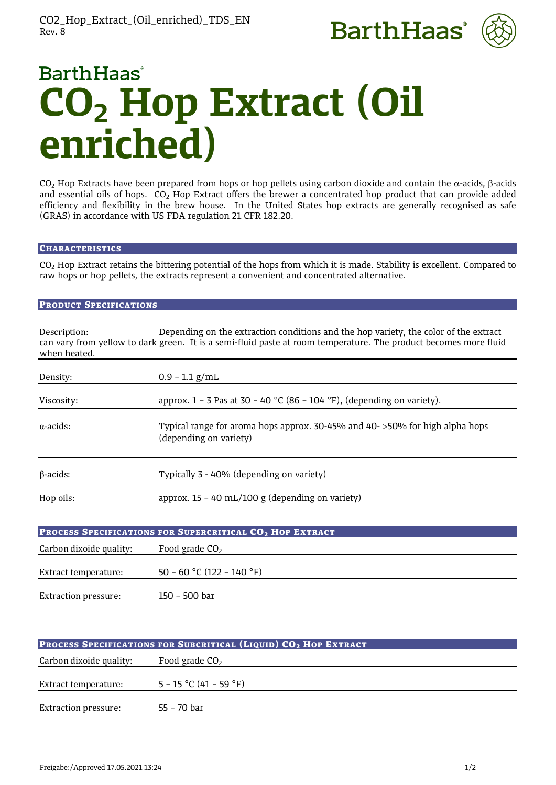



# **BarthHaas**<sup>®</sup> **CO2 Hop Extract (Oil enriched)**

CO<sub>2</sub> Hop Extracts have been prepared from hops or hop pellets using carbon dioxide and contain the  $\alpha$ -acids,  $\beta$ -acids and essential oils of hops.  $CO<sub>2</sub>$  Hop Extract offers the brewer a concentrated hop product that can provide added efficiency and flexibility in the brew house. In the United States hop extracts are generally recognised as safe (GRAS) in accordance with US FDA regulation 21 CFR 182.20.

# **CHARACTERISTICS**

CO2 Hop Extract retains the bittering potential of the hops from which it is made. Stability is excellent. Compared to raw hops or hop pellets, the extracts represent a convenient and concentrated alternative.

# PRODUCT SPECIFICATIONS

| Description:<br>when heated. | Depending on the extraction conditions and the hop variety, the color of the extract<br>can vary from yellow to dark green. It is a semi-fluid paste at room temperature. The product becomes more fluid |
|------------------------------|----------------------------------------------------------------------------------------------------------------------------------------------------------------------------------------------------------|
| Density:                     | $0.9 - 1.1$ g/mL                                                                                                                                                                                         |
| Viscosity:                   | approx. $1 - 3$ Pas at 30 - 40 °C (86 - 104 °F), (depending on variety).                                                                                                                                 |
| $\alpha$ -acids:             | Typical range for aroma hops approx. 30-45% and 40->50% for high alpha hops<br>(depending on variety)                                                                                                    |
| $\beta$ -acids:              | Typically 3 - 40% (depending on variety)                                                                                                                                                                 |
| Hop oils:                    | approx. $15 - 40$ mL/100 g (depending on variety)                                                                                                                                                        |
|                              | PROCESS SPECIFICATIONS FOR SUPERCRITICAL CO <sub>2</sub> HOP EXTRACT                                                                                                                                     |
| Carbon dixoide quality:      | Food grade $CO2$                                                                                                                                                                                         |
| Extract temperature:         | 50 - 60 °C (122 - 140 °F)                                                                                                                                                                                |
| <b>Extraction pressure:</b>  | 150 - 500 bar                                                                                                                                                                                            |

| <b>PROCESS SPECIFICATIONS FOR SUBCRITICAL (LIQUID) CO<sub>2</sub> HOP EXTRACT</b> |                          |
|-----------------------------------------------------------------------------------|--------------------------|
| Carbon dixoide quality:                                                           | Food grade $CO2$         |
| Extract temperature:                                                              | $5 - 15$ °C (41 – 59 °F) |
| <b>Extraction pressure:</b>                                                       | 55 - 70 bar              |